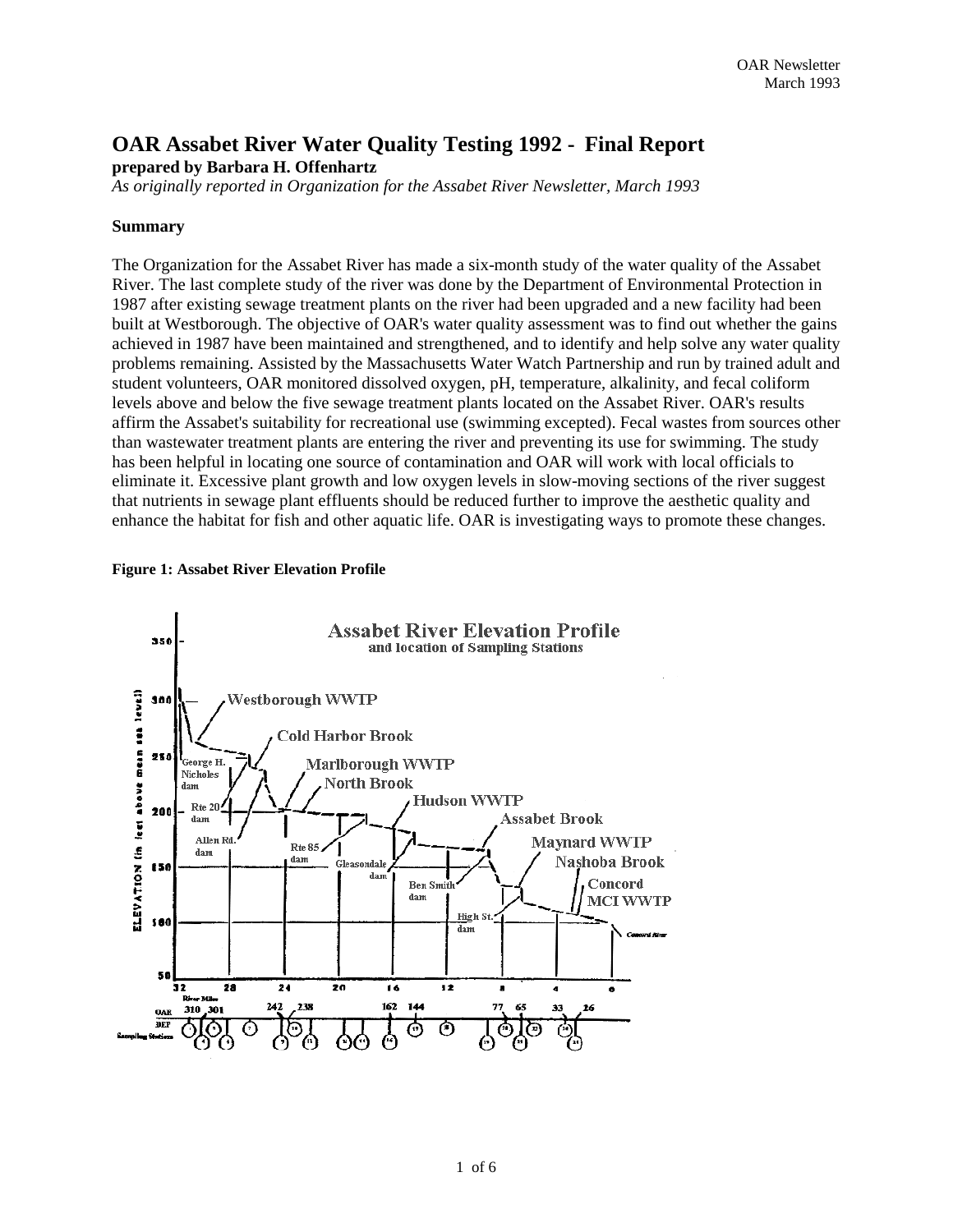# **OAR Assabet River Water Quality Testing 1992 - Final Report prepared by Barbara H. Offenhartz**

*As originally reported in Organization for the Assabet River Newsletter, March 1993* 

### **Summary**

The Organization for the Assabet River has made a six-month study of the water quality of the Assabet River. The last complete study of the river was done by the Department of Environmental Protection in 1987 after existing sewage treatment plants on the river had been upgraded and a new facility had been built at Westborough. The objective of OAR's water quality assessment was to find out whether the gains achieved in 1987 have been maintained and strengthened, and to identify and help solve any water quality problems remaining. Assisted by the Massachusetts Water Watch Partnership and run by trained adult and student volunteers, OAR monitored dissolved oxygen, pH, temperature, alkalinity, and fecal coliform levels above and below the five sewage treatment plants located on the Assabet River. OAR's results affirm the Assabet's suitability for recreational use (swimming excepted). Fecal wastes from sources other than wastewater treatment plants are entering the river and preventing its use for swimming. The study has been helpful in locating one source of contamination and OAR will work with local officials to eliminate it. Excessive plant growth and low oxygen levels in slow-moving sections of the river suggest that nutrients in sewage plant effluents should be reduced further to improve the aesthetic quality and enhance the habitat for fish and other aquatic life. OAR is investigating ways to promote these changes.

#### **Figure 1: Assabet River Elevation Profile**

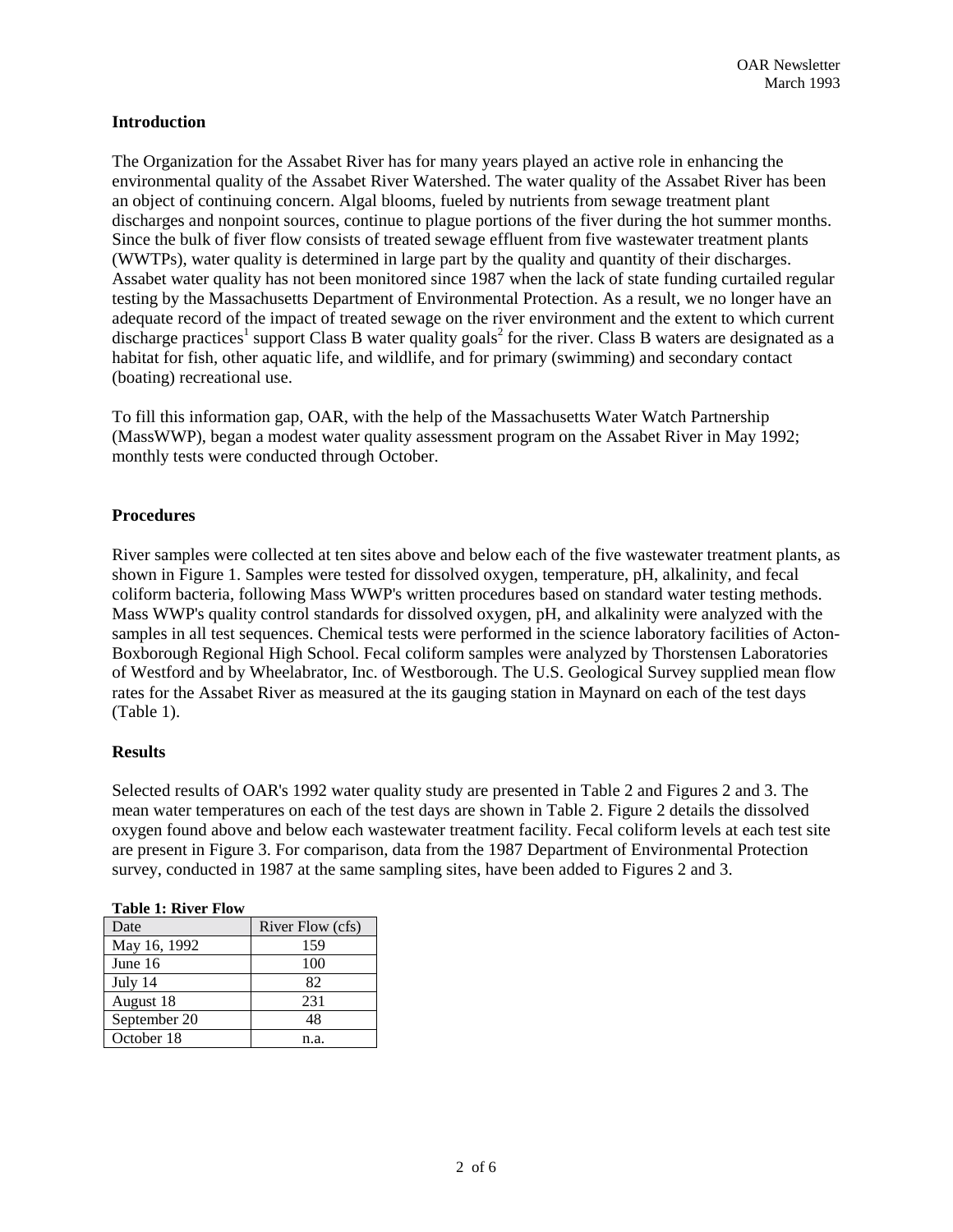### **Introduction**

The Organization for the Assabet River has for many years played an active role in enhancing the environmental quality of the Assabet River Watershed. The water quality of the Assabet River has been an object of continuing concern. Algal blooms, fueled by nutrients from sewage treatment plant discharges and nonpoint sources, continue to plague portions of the fiver during the hot summer months. Since the bulk of fiver flow consists of treated sewage effluent from five wastewater treatment plants (WWTPs), water quality is determined in large part by the quality and quantity of their discharges. Assabet water quality has not been monitored since 1987 when the lack of state funding curtailed regular testing by the Massachusetts Department of Environmental Protection. As a result, we no longer have an adequate record of the impact of treated sewage on the river environment and the extent to which current discharge practices<sup>1</sup> support Class B water quality goals<sup>2</sup> for the river. Class B waters are designated as a habitat for fish, other aquatic life, and wildlife, and for primary (swimming) and secondary contact (boating) recreational use.

To fill this information gap, OAR, with the help of the Massachusetts Water Watch Partnership (MassWWP), began a modest water quality assessment program on the Assabet River in May 1992; monthly tests were conducted through October.

### **Procedures**

River samples were collected at ten sites above and below each of the five wastewater treatment plants, as shown in Figure 1. Samples were tested for dissolved oxygen, temperature, pH, alkalinity, and fecal coliform bacteria, following Mass WWP's written procedures based on standard water testing methods. Mass WWP's quality control standards for dissolved oxygen, pH, and alkalinity were analyzed with the samples in all test sequences. Chemical tests were performed in the science laboratory facilities of Acton-Boxborough Regional High School. Fecal coliform samples were analyzed by Thorstensen Laboratories of Westford and by Wheelabrator, Inc. of Westborough. The U.S. Geological Survey supplied mean flow rates for the Assabet River as measured at the its gauging station in Maynard on each of the test days (Table 1).

#### **Results**

Selected results of OAR's 1992 water quality study are presented in Table 2 and Figures 2 and 3. The mean water temperatures on each of the test days are shown in Table 2. Figure 2 details the dissolved oxygen found above and below each wastewater treatment facility. Fecal coliform levels at each test site are present in Figure 3. For comparison, data from the 1987 Department of Environmental Protection survey, conducted in 1987 at the same sampling sites, have been added to Figures 2 and 3.

| River Flow (cfs) |  |  |
|------------------|--|--|
| 159              |  |  |
| 100              |  |  |
| 82               |  |  |
| 231              |  |  |
| 48               |  |  |
| n.a.             |  |  |
|                  |  |  |

#### **Table 1: River Flow**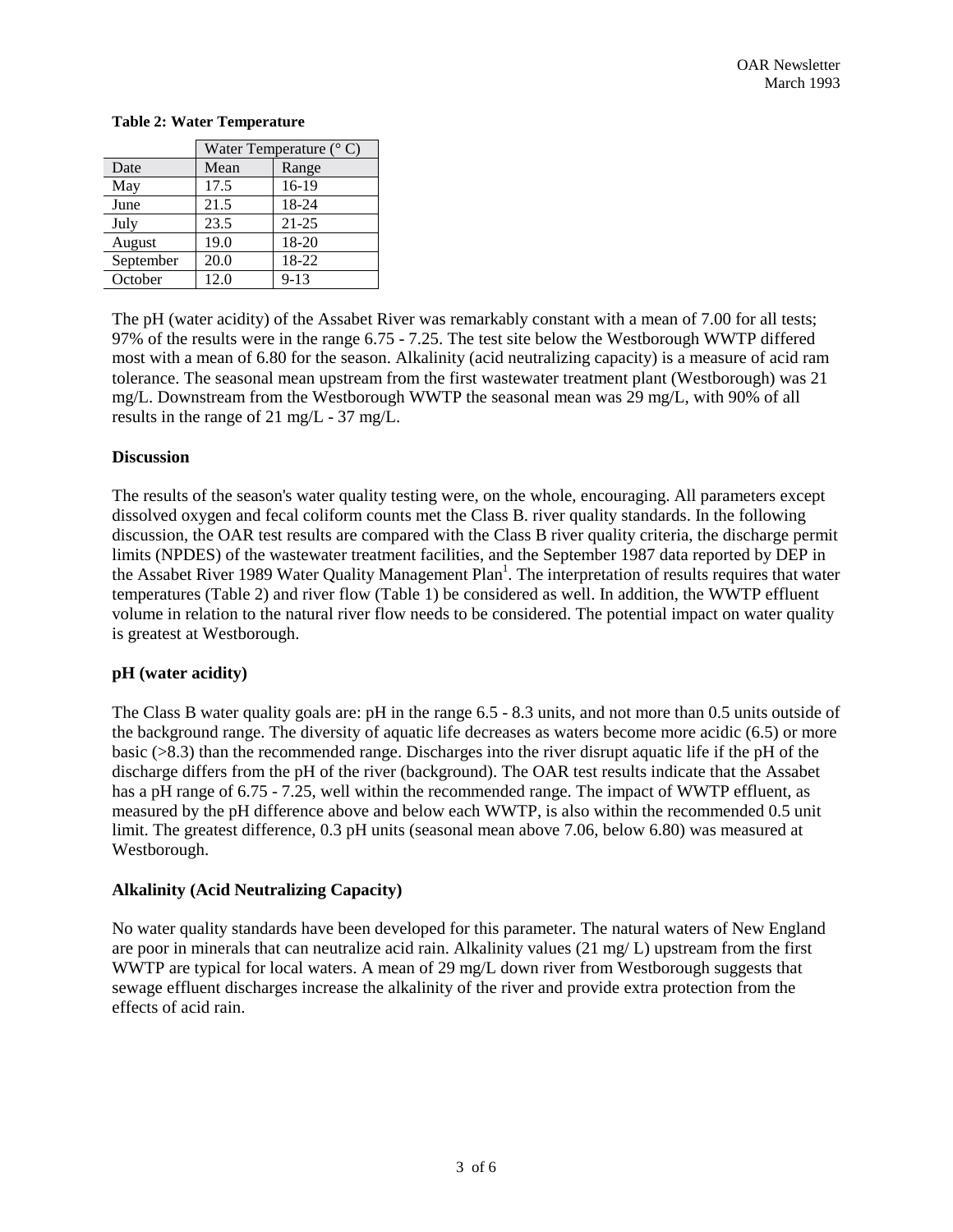|           | Water Temperature $(^{\circ}$ C) |           |
|-----------|----------------------------------|-----------|
| Date      | Mean                             | Range     |
| May       | 17.5                             | 16-19     |
| June      | 21.5                             | 18-24     |
| July      | 23.5                             | $21 - 25$ |
| August    | 19.0                             | 18-20     |
| September | 20.0                             | 18-22     |
| October   | 12.0                             | $9 - 13$  |

#### **Table 2: Water Temperature**

The pH (water acidity) of the Assabet River was remarkably constant with a mean of 7.00 for all tests; 97% of the results were in the range 6.75 - 7.25. The test site below the Westborough WWTP differed most with a mean of 6.80 for the season. Alkalinity (acid neutralizing capacity) is a measure of acid ram tolerance. The seasonal mean upstream from the first wastewater treatment plant (Westborough) was 21 mg/L. Downstream from the Westborough WWTP the seasonal mean was 29 mg/L, with 90% of all results in the range of 21 mg/L - 37 mg/L.

## **Discussion**

The results of the season's water quality testing were, on the whole, encouraging. All parameters except dissolved oxygen and fecal coliform counts met the Class B. river quality standards. In the following discussion, the OAR test results are compared with the Class B river quality criteria, the discharge permit limits (NPDES) of the wastewater treatment facilities, and the September 1987 data reported by DEP in the Assabet River 1989 Water Quality Management Plan<sup>1</sup>. The interpretation of results requires that water temperatures (Table 2) and river flow (Table 1) be considered as well. In addition, the WWTP effluent volume in relation to the natural river flow needs to be considered. The potential impact on water quality is greatest at Westborough.

### **pH (water acidity)**

The Class B water quality goals are: pH in the range 6.5 - 8.3 units, and not more than 0.5 units outside of the background range. The diversity of aquatic life decreases as waters become more acidic (6.5) or more basic (>8.3) than the recommended range. Discharges into the river disrupt aquatic life if the pH of the discharge differs from the pH of the river (background). The OAR test results indicate that the Assabet has a pH range of 6.75 - 7.25, well within the recommended range. The impact of WWTP effluent, as measured by the pH difference above and below each WWTP, is also within the recommended 0.5 unit limit. The greatest difference, 0.3 pH units (seasonal mean above 7.06, below 6.80) was measured at Westborough.

# **Alkalinity (Acid Neutralizing Capacity)**

No water quality standards have been developed for this parameter. The natural waters of New England are poor in minerals that can neutralize acid rain. Alkalinity values (21 mg/ L) upstream from the first WWTP are typical for local waters. A mean of 29 mg/L down river from Westborough suggests that sewage effluent discharges increase the alkalinity of the river and provide extra protection from the effects of acid rain.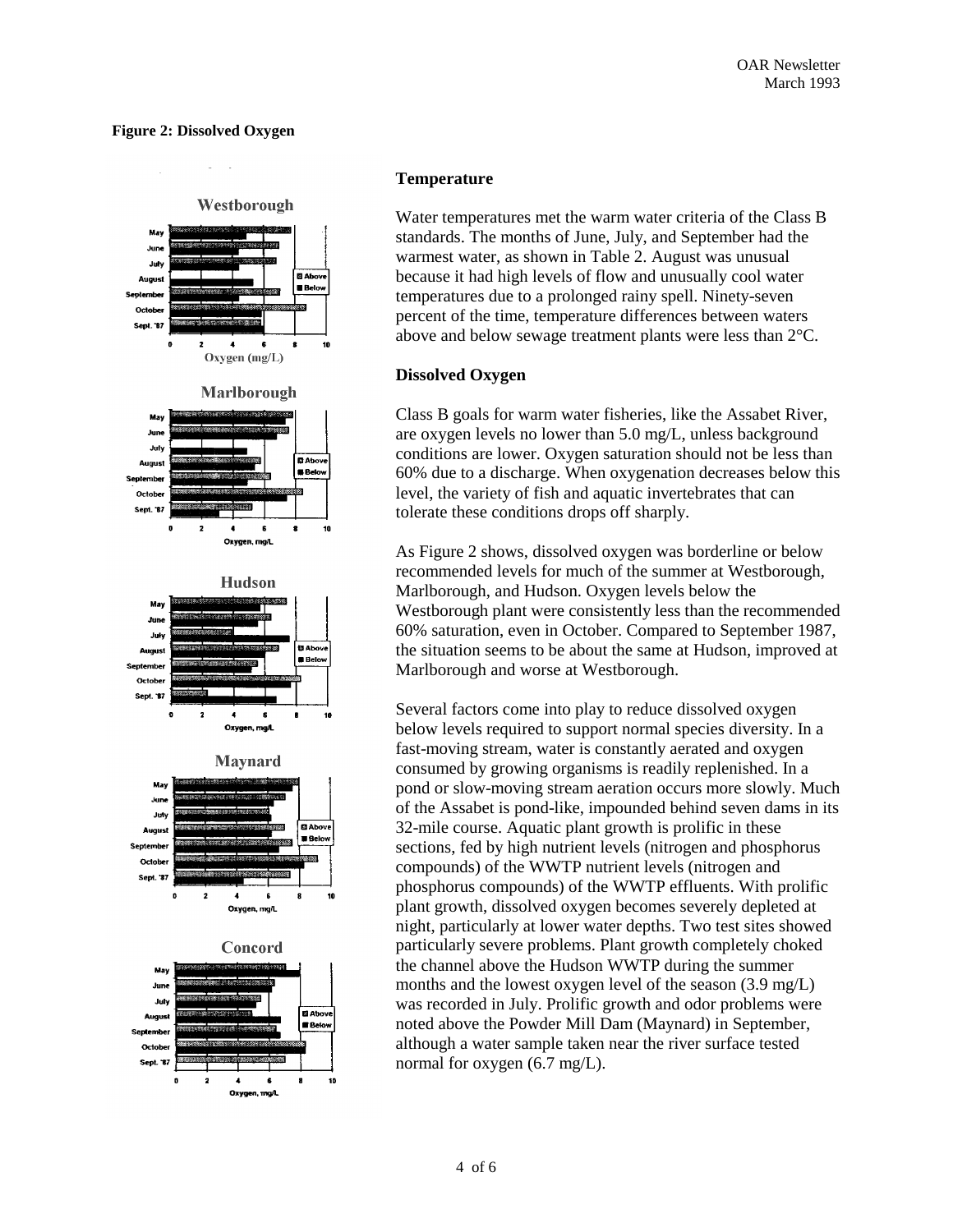### **Figure 2: Dissolved Oxygen**



### **Temperature**

Water temperatures met the warm water criteria of the Class B standards. The months of June, July, and September had the warmest water, as shown in Table 2. August was unusual because it had high levels of flow and unusually cool water temperatures due to a prolonged rainy spell. Ninety-seven percent of the time, temperature differences between waters above and below sewage treatment plants were less than 2°C.

#### **Dissolved Oxygen**

Class B goals for warm water fisheries, like the Assabet River, are oxygen levels no lower than 5.0 mg/L, unless background conditions are lower. Oxygen saturation should not be less than 60% due to a discharge. When oxygenation decreases below this level, the variety of fish and aquatic invertebrates that can tolerate these conditions drops off sharply.

As Figure 2 shows, dissolved oxygen was borderline or below recommended levels for much of the summer at Westborough, Marlborough, and Hudson. Oxygen levels below the Westborough plant were consistently less than the recommended 60% saturation, even in October. Compared to September 1987, the situation seems to be about the same at Hudson, improved at Marlborough and worse at Westborough.

Several factors come into play to reduce dissolved oxygen below levels required to support normal species diversity. In a fast-moving stream, water is constantly aerated and oxygen consumed by growing organisms is readily replenished. In a pond or slow-moving stream aeration occurs more slowly. Much of the Assabet is pond-like, impounded behind seven dams in its 32-mile course. Aquatic plant growth is prolific in these sections, fed by high nutrient levels (nitrogen and phosphorus compounds) of the WWTP nutrient levels (nitrogen and phosphorus compounds) of the WWTP effluents. With prolific plant growth, dissolved oxygen becomes severely depleted at night, particularly at lower water depths. Two test sites showed particularly severe problems. Plant growth completely choked the channel above the Hudson WWTP during the summer months and the lowest oxygen level of the season (3.9 mg/L) was recorded in July. Prolific growth and odor problems were noted above the Powder Mill Dam (Maynard) in September, although a water sample taken near the river surface tested normal for oxygen (6.7 mg/L).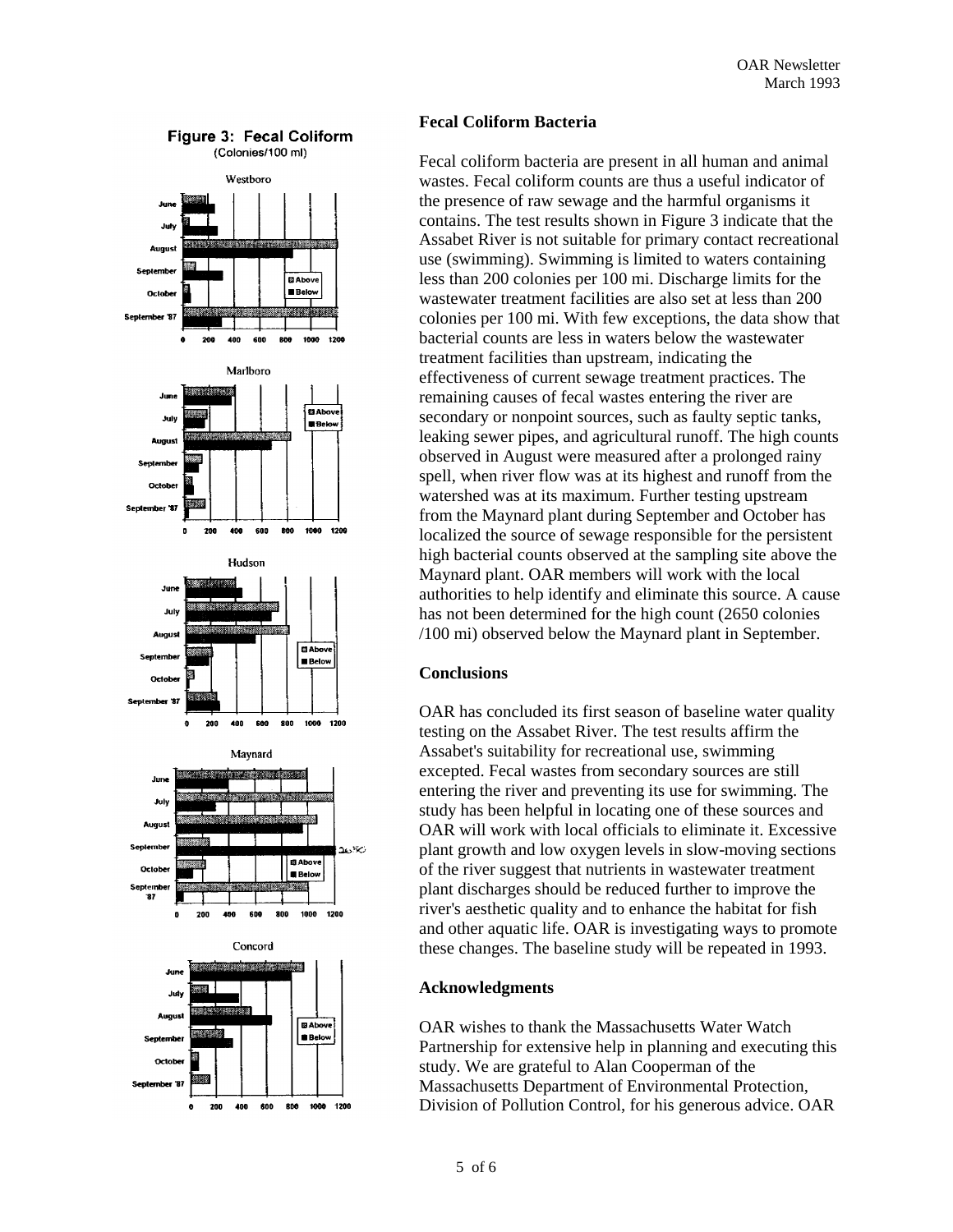

### **Fecal Coliform Bacteria**

Fecal coliform bacteria are present in all human and animal wastes. Fecal coliform counts are thus a useful indicator of the presence of raw sewage and the harmful organisms it contains. The test results shown in Figure 3 indicate that the Assabet River is not suitable for primary contact recreational use (swimming). Swimming is limited to waters containing less than 200 colonies per 100 mi. Discharge limits for the wastewater treatment facilities are also set at less than 200 colonies per 100 mi. With few exceptions, the data show that bacterial counts are less in waters below the wastewater treatment facilities than upstream, indicating the effectiveness of current sewage treatment practices. The remaining causes of fecal wastes entering the river are secondary or nonpoint sources, such as faulty septic tanks, leaking sewer pipes, and agricultural runoff. The high counts observed in August were measured after a prolonged rainy spell, when river flow was at its highest and runoff from the watershed was at its maximum. Further testing upstream from the Maynard plant during September and October has localized the source of sewage responsible for the persistent high bacterial counts observed at the sampling site above the Maynard plant. OAR members will work with the local authorities to help identify and eliminate this source. A cause has not been determined for the high count (2650 colonies /100 mi) observed below the Maynard plant in September.

#### **Conclusions**

OAR has concluded its first season of baseline water quality testing on the Assabet River. The test results affirm the Assabet's suitability for recreational use, swimming excepted. Fecal wastes from secondary sources are still entering the river and preventing its use for swimming. The study has been helpful in locating one of these sources and OAR will work with local officials to eliminate it. Excessive plant growth and low oxygen levels in slow-moving sections of the river suggest that nutrients in wastewater treatment plant discharges should be reduced further to improve the river's aesthetic quality and to enhance the habitat for fish and other aquatic life. OAR is investigating ways to promote these changes. The baseline study will be repeated in 1993.

#### **Acknowledgments**

OAR wishes to thank the Massachusetts Water Watch Partnership for extensive help in planning and executing this study. We are grateful to Alan Cooperman of the Massachusetts Department of Environmental Protection, Division of Pollution Control, for his generous advice. OAR